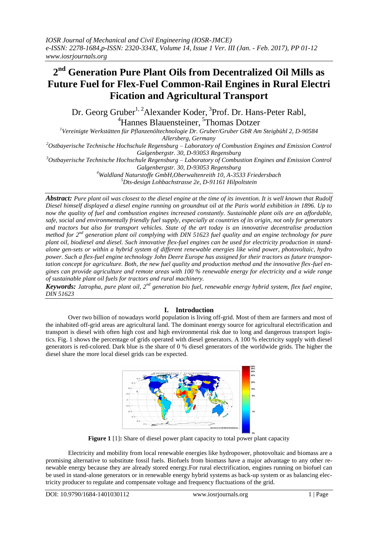# **2 nd Generation Pure Plant Oils from Decentralized Oil Mills as Future Fuel for Flex-Fuel Common-Rail Engines in Rural Electri Fication and Agricultural Transport**

Dr. Georg Gruber<sup>1, 2</sup>Alexander Koder, <sup>3</sup>Prof. Dr. Hans-Peter Rabl, <sup>4</sup>Hannes Blauensteiner, <sup>5</sup>Thomas Dotzer

*<sup>1</sup>Vereinigte Werkstätten für Pflanzenöltechnologie Dr. Gruber/Gruber GbR Am Steigbühl 2, D-90584* 

*Allersberg, Germany*

*<sup>2</sup>Ostbayerische Technische Hochschule Regensburg – Laboratory of Combustion Engines and Emission Control Galgenbergstr. 30, D-93053 Regensburg*

*<sup>3</sup>Ostbayerische Technische Hochschule Regensburg – Laboratory of Combustion Engines and Emission Control*

*Galgenbergstr. 30, D-93053 Regensburg*

*<sup>4</sup>Waldland Naturstoffe GmbH,Oberwaltenreith 10, A-3533 Friedersbach*

*<sup>5</sup>Dts-design Lohbachstrasse 2e, D-91161 Hilpoltstein*

*Abstract: Pure plant oil was closest to the diesel engine at the time of its invention. It is well known that Rudolf Diesel himself displayed a diesel engine running on groundnut oil at the Paris world exhibition in 1896. Up to now the quality of fuel and combustion engines increased constantly. Sustainable plant oils are an affordable, safe, social and environmentally friendly fuel supply, especially at countries of its origin, not only for generators and tractors but also for transport vehicles. State of the art today is an innovative decentralise production*  method for 2<sup>nd</sup> generation plant oil complying with DIN 51623 fuel quality and an engine technology for pure *plant oil, biodiesel and diesel. Such innovative flex-fuel engines can be used for electricity production in standalone gen-sets or within a hybrid system of different renewable energies like wind power, photovoltaic, hydro power. Such a flex-fuel engine technology John Deere Europe has assigned for their tractors as future transportation concept for agriculture. Both, the new fuel quality and production method and the innovative flex-fuel engines can provide agriculture and remote areas with 100 % renewable energy for electricity and a wide range of sustainable plant oil fuels for tractors and rural machinery.*

*Keywords: Jatropha, pure plant oil, 2<sup>nd</sup> generation bio fuel, renewable energy hybrid system, flex fuel engine, DIN 51623*

## **I. Introduction**

Over two billion of nowadays world population is living off-grid. Most of them are farmers and most of the inhabited off-grid areas are agricultural land. The dominant energy source for agricultural electrification and transport is diesel with often high cost and high environmental risk due to long and dangerous transport logistics. Fig. 1 shows the percentage of grids operated with diesel generators. A 100 % electricity supply with diesel generators is red-colored. Dark blue is the share of 0 % diesel generators of the worldwide grids. The higher the diesel share the more local diesel grids can be expected.



**Figure 1** [1]**:** Share of diesel power plant capacity to total power plant capacity

Electricity and mobility from local renewable energies like hydropower, photovoltaic and biomass are a promising alternative to substitute fossil fuels. Biofuels from biomass have a major advantage to any other renewable energy because they are already stored energy.For rural electrification, engines running on biofuel can be used in stand-alone generators or in renewable energy hybrid systems as back-up system or as balancing electricity producer to regulate and compensate voltage and frequency fluctuations of the grid.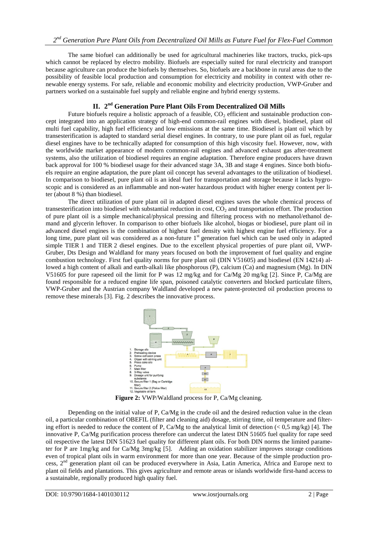The same biofuel can additionally be used for agricultural machineries like tractors, trucks, pick-ups which cannot be replaced by electro mobility. Biofuels are especially suited for rural electricity and transport because agriculture can produce the biofuels by themselves. So, biofuels are a backbone in rural areas due to the possibility of feasible local production and consumption for electricity and mobility in context with other renewable energy systems. For safe, reliable and economic mobility and electricity production, VWP-Gruber and partners worked on a sustainable fuel supply and reliable engine and hybrid energy systems.

### **II. 2 nd Generation Pure Plant Oils From Decentralized Oil Mills**

Future biofuels require a holistic approach of a feasible,  $CO<sub>2</sub>$  efficient and sustainable production concept integrated into an application strategy of high-end common-rail engines with diesel, biodiesel, plant oil multi fuel capability, high fuel efficiency and low emissions at the same time. Biodiesel is plant oil which by transesterification is adapted to standard serial diesel engines. In contrary, to use pure plant oil as fuel, regular diesel engines have to be technically adapted for consumption of this high viscosity fuel. However, now, with the worldwide market appearance of modern common-rail engines and advanced exhaust gas after-treatment systems, also the utilization of biodiesel requires an engine adaptation. Therefore engine producers have drawn back approval for 100 % biodiesel usage for their advanced stage 3A, 3B and stage 4 engines. Since both biofuels require an engine adaptation, the pure plant oil concept has several advantages to the utilization of biodiesel. In comparison to biodiesel, pure plant oil is an ideal fuel for transportation and storage because it lacks hygroscopic and is considered as an inflammable and non-water hazardous product with higher energy content per liter (about 8 %) than biodiesel.

The direct utilization of pure plant oil in adapted diesel engines saves the whole chemical process of transesterification into biodiesel with substantial reduction in cost,  $CO<sub>2</sub>$  and transportation effort. The production of pure plant oil is a simple mechanical/physical pressing and filtering process with no methanol/ethanol demand and glycerin leftover. In comparison to other biofuels like alcohol, biogas or biodiesel, pure plant oil in advanced diesel engines is the combination of highest fuel density with highest engine fuel efficiency. For a long time, pure plant oil was considered as a non-future 1<sup>st</sup> generation fuel which can be used only in adapted simple TIER 1 and TIER 2 diesel engines. Due to the excellent physical properties of pure plant oil, VWP-Gruber, Dts Design and Waldland for many years focused on both the improvement of fuel quality and engine combustion technology. First fuel quality norms for pure plant oil (DIN V51605) and biodiesel (EN 14214) allowed a high content of alkali and earth-alkali like phosphorous (P), calcium (Ca) and magnesium (Mg). In DIN V51605 for pure rapeseed oil the limit for P was 12 mg/kg and for Ca/Mg 20 mg/kg [2]. Since P, Ca/Mg are found responsible for a reduced engine life span, poisoned catalytic converters and blocked particulate filters, VWP-Gruber and the Austrian company Waldland developed a new patent-protected oil production process to remove these minerals [3]. Fig. 2 describes the innovative process.



Figure 2: VWP/Waldland process for P, Ca/Mg cleaning.

Depending on the initial value of P, Ca/Mg in the crude oil and the desired reduction value in the clean oil, a particular combination of OBEFIL (filter and cleaning aid) dosage, stirring time, oil temperature and filtering effort is needed to reduce the content of P, Ca/Mg to the analytical limit of detection  $\langle 0.5 \text{ mg/kg} \rangle$  [4]. The innovative P, Ca/Mg purification process therefore can undercut the latest DIN 51605 fuel quality for rape seed oil respective the latest DIN 51623 fuel quality for different plant oils. For both DIN norms the limited parameter for P are 1mg/kg and for Ca/Mg 3mg/kg [5]. Adding an oxidation stabilizer improves storage conditions even of tropical plant oils in warm environment for more than one year. Because of the simple production process, 2nd generation plant oil can be produced everywhere in Asia, Latin America, Africa and Europe next to plant oil fields and plantations. This gives agriculture and remote areas or islands worldwide first-hand access to a sustainable, regionally produced high quality fuel.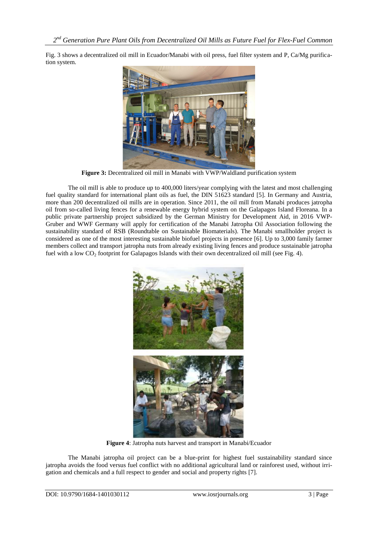Fig. 3 shows a decentralized oil mill in Ecuador/Manabi with oil press, fuel filter system and P, Ca/Mg purification system.



**Figure 3:** Decentralized oil mill in Manabi with VWP/Waldland purification system

The oil mill is able to produce up to 400,000 liters/year complying with the latest and most challenging fuel quality standard for international plant oils as fuel, the DIN 51623 standard [5]. In Germany and Austria, more than 200 decentralized oil mills are in operation. Since 2011, the oil mill from Manabi produces jatropha oil from so-called living fences for a renewable energy hybrid system on the Galapagos Island Floreana. In a public private partnership project subsidized by the German Ministry for Development Aid, in 2016 VWP-Gruber and WWF Germany will apply for certification of the Manabi Jatropha Oil Association following the sustainability standard of RSB (Roundtable on Sustainable Biomaterials). The Manabi smallholder project is considered as one of the most interesting sustainable biofuel projects in presence [6]. Up to 3,000 family farmer members collect and transport jatropha nuts from already existing living fences and produce sustainable jatropha fuel with a low CO<sub>2</sub> footprint for Galapagos Islands with their own decentralized oil mill (see Fig. 4).



**Figure 4**: Jatropha nuts harvest and transport in Manabi/Ecuador

The Manabi jatropha oil project can be a blue-print for highest fuel sustainability standard since jatropha avoids the food versus fuel conflict with no additional agricultural land or rainforest used, without irrigation and chemicals and a full respect to gender and social and property rights [7].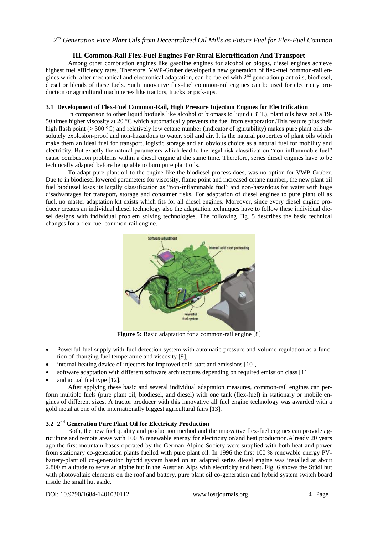## **III. Common-Rail Flex-Fuel Engines For Rural Electrification And Transport**

Among other combustion engines like gasoline engines for alcohol or biogas, diesel engines achieve highest fuel efficiency rates. Therefore, VWP-Gruber developed a new generation of flex-fuel common-rail engines which, after mechanical and electronical adaptation, can be fueled with 2<sup>nd</sup> generation plant oils, biodiesel, diesel or blends of these fuels. Such innovative flex-fuel common-rail engines can be used for electricity production or agricultural machineries like tractors, trucks or pick-ups.

### **3.1 Development of Flex-Fuel Common-Rail, High Pressure Injection Engines for Electrification**

In comparison to other liquid biofuels like alcohol or biomass to liquid (BTL), plant oils have got a 19- 50 times higher viscosity at 20 °C which automatically prevents the fuel from evaporation.This feature plus their high flash point (> 300 °C) and relatively low cetane number (indicator of ignitability) makes pure plant oils absolutely explosion-proof and non-hazardous to water, soil and air. It is the natural properties of plant oils which make them an ideal fuel for transport, logistic storage and an obvious choice as a natural fuel for mobility and electricity. But exactly the natural parameters which lead to the legal risk classification "non-inflammable fuel" cause combustion problems within a diesel engine at the same time. Therefore, series diesel engines have to be technically adapted before being able to burn pure plant oils.

To adapt pure plant oil to the engine like the biodiesel process does, was no option for VWP-Gruber. Due to in biodiesel lowered parameters for viscosity, flame point and increased cetane number, the new plant oil fuel biodiesel loses its legally classification as "non-inflammable fuel" and non-hazardous for water with huge disadvantages for transport, storage and consumer risks. For adaptation of diesel engines to pure plant oil as fuel, no master adaptation kit exists which fits for all diesel engines. Moreover, since every diesel engine producer creates an individual diesel technology also the adaptation techniques have to follow these individual diesel designs with individual problem solving technologies. The following Fig. 5 describes the basic technical changes for a flex-fuel common-rail engine.



**Figure 5:** Basic adaptation for a common-rail engine [8]

- Powerful fuel supply with fuel detection system with automatic pressure and volume regulation as a function of changing fuel temperature and viscosity [9],
- internal heating device of injectors for improved cold start and emissions [10],
- software adaptation with different software architectures depending on required emission class [11]
- and actual fuel type [12].

After applying these basic and several individual adaptation measures, common-rail engines can perform multiple fuels (pure plant oil, biodiesel, and diesel) with one tank (flex-fuel) in stationary or mobile engines of different sizes. A tractor producer with this innovative all fuel engine technology was awarded with a gold metal at one of the internationally biggest agricultural fairs [13].

### **3.2 2 nd Generation Pure Plant Oil for Electricity Production**

Both, the new fuel quality and production method and the innovative flex-fuel engines can provide agriculture and remote areas with 100 % renewable energy for electricity or/and heat production.Already 20 years ago the first mountain bases operated by the German Alpine Society were supplied with both heat and power from stationary co-generation plants fuelled with pure plant oil. In 1996 the first 100 % renewable energy PVbattery-plant oil co-generation hybrid system based on an adapted series diesel engine was installed at about 2,800 m altitude to serve an alpine hut in the Austrian Alps with electricity and heat. Fig. 6 shows the Stüdl hut with photovoltaic elements on the roof and battery, pure plant oil co-generation and hybrid system switch board inside the small hut aside.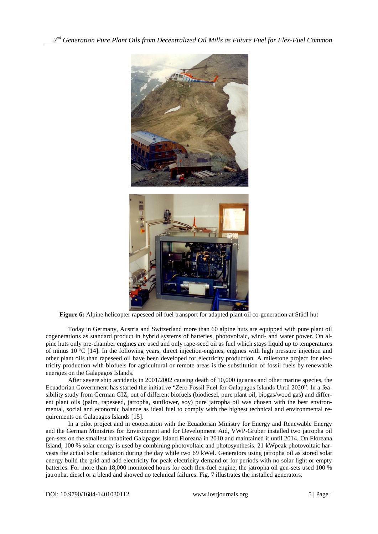*2 nd Generation Pure Plant Oils from Decentralized Oil Mills as Future Fuel for Flex-Fuel Common*



**Figure 6:** Alpine helicopter rapeseed oil fuel transport for adapted plant oil co-generation at Stüdl hut

Today in Germany, Austria and Switzerland more than 60 alpine huts are equipped with pure plant oil cogenerations as standard product in hybrid systems of batteries, photovoltaic, wind- and water power. On alpine huts only pre-chamber engines are used and only rape-seed oil as fuel which stays liquid up to temperatures of minus 10  $^{\circ}$ C [14]. In the following years, direct injection-engines, engines with high pressure injection and other plant oils than rapeseed oil have been developed for electricity production. A milestone project for electricity production with biofuels for agricultural or remote areas is the substitution of fossil fuels by renewable energies on the Galapagos Islands.

After severe ship accidents in 2001/2002 causing death of 10,000 iguanas and other marine species, the Ecuadorian Government has started the initiative "Zero Fossil Fuel for Galapagos Islands Until 2020". In a feasibility study from German GIZ, out of different biofuels (biodiesel, pure plant oil, biogas/wood gas) and different plant oils (palm, rapeseed, jatropha, sunflower, soy) pure jatropha oil was chosen with the best environmental, social and economic balance as ideal fuel to comply with the highest technical and environmental requirements on Galapagos Islands [15].

In a pilot project and in cooperation with the Ecuadorian Ministry for Energy and Renewable Energy and the German Ministries for Environment and for Development Aid, VWP-Gruber installed two jatropha oil gen-sets on the smallest inhabited Galapagos Island Floreana in 2010 and maintained it until 2014. On Floreana Island, 100 % solar energy is used by combining photovoltaic and photosynthesis. 21 kWpeak photovoltaic harvests the actual solar radiation during the day while two 69 kWel. Generators using jatropha oil as stored solar energy build the grid and add electricity for peak electricity demand or for periods with no solar light or empty batteries. For more than 18,000 monitored hours for each flex-fuel engine, the jatropha oil gen-sets used 100 % jatropha, diesel or a blend and showed no technical failures. Fig. 7 illustrates the installed generators.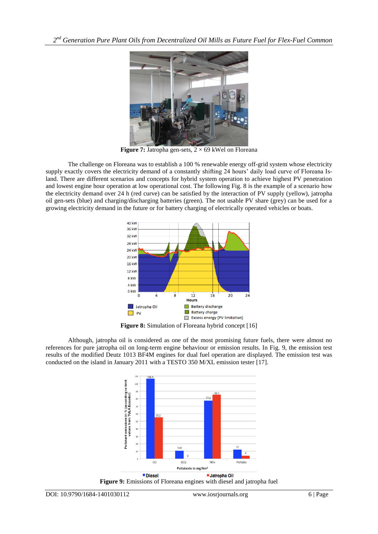*2 nd Generation Pure Plant Oils from Decentralized Oil Mills as Future Fuel for Flex-Fuel Common*



**Figure 7:** Jatropha gen-sets,  $2 \times 69$  kWel on Floreana

The challenge on Floreana was to establish a 100 % renewable energy off-grid system whose electricity supply exactly covers the electricity demand of a constantly shifting 24 hours' daily load curve of Floreana Island. There are different scenarios and concepts for hybrid system operation to achieve highest PV penetration and lowest engine hour operation at low operational cost. The following Fig. 8 is the example of a scenario how the electricity demand over 24 h (red curve) can be satisfied by the interaction of PV supply (yellow), jatropha oil gen-sets (blue) and charging/discharging batteries (green). The not usable PV share (grey) can be used for a growing electricity demand in the future or for battery charging of electrically operated vehicles or boats.



**Figure 8:** Simulation of Floreana hybrid concept [16]

Although, jatropha oil is considered as one of the most promising future fuels, there were almost no references for pure jatropha oil on long-term engine behaviour or emission results. In Fig. 9, the emission test results of the modified Deutz 1013 BF4M engines for dual fuel operation are displayed. The emission test was conducted on the island in January 2011 with a TESTO 350 M/XL emission tester [17].

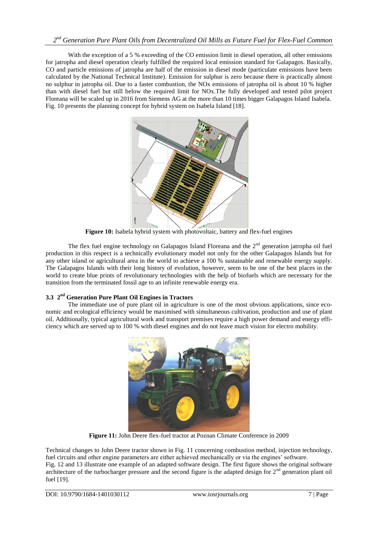# *2 nd Generation Pure Plant Oils from Decentralized Oil Mills as Future Fuel for Flex-Fuel Common*

With the exception of a 5 % exceeding of the CO emission limit in diesel operation, all other emissions for jatropha and diesel operation clearly fulfilled the required local emission standard for Galapagos. Basically, CO and particle emissions of jatropha are half of the emission in diesel mode (particulate emissions have been calculated by the National Technical Institute). Emission for sulphur is zero because there is practically almost no sulphur in jatropha oil. Due to a faster combustion, the NOx emissions of jatropha oil is about 10 % higher than with diesel fuel but still below the required limit for NOx.The fully developed and tested pilot project Floreana will be scaled up in 2016 from Siemens AG at the more than 10 times bigger Galapagos Island Isabela. Fig. 10 presents the planning concept for hybrid system on Isabela Island [18].



**Figure 10:** Isabela hybrid system with photovoltaic, battery and flex-fuel engines

The flex fuel engine technology on Galapagos Island Floreana and the  $2<sup>nd</sup>$  generation jatropha oil fuel production in this respect is a technically evolutionary model not only for the other Galapagos Islands but for any other island or agricultural area in the world to achieve a 100 % sustainable and renewable energy supply. The Galapagos Islands with their long history of evolution, however, seem to be one of the best places in the world to create blue prints of revolutionary technologies with the help of biofuels which are necessary for the transition from the terminated fossil age to an infinite renewable energy era.

### **3.3 2 nd Generation Pure Plant Oil Engines in Tractors**

The immediate use of pure plant oil in agriculture is one of the most obvious applications, since economic and ecological efficiency would be maximised with simultaneous cultivation, production and use of plant oil. Additionally, typical agricultural work and transport premises require a high power demand and energy efficiency which are served up to 100 % with diesel engines and do not leave much vision for electro mobility.



**Figure 11:** John Deere flex-fuel tractor at Poznan Climate Conference in 2009

Technical changes to John Deere tractor shown in Fig. 11 concerning combustion method, injection technology, fuel circuits and other engine parameters are either achieved mechanically or via the engines' software.

Fig. 12 and 13 illustrate one example of an adapted software design. The first figure shows the original software architecture of the turbocharger pressure and the second figure is the adapted design for  $2<sup>nd</sup>$  generation plant oil fuel [19].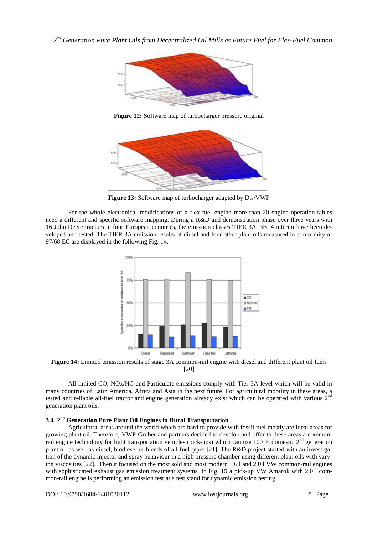

**Figure 12:** Software map of turbocharger pressure original



**Figure 13:** Software map of turbocharger adapted by Dts/VWP

For the whole electronical modifications of a flex-fuel engine more than 20 engine operation tables need a different and specific software mapping. During a R&D and demonstration phase over three years with 16 John Deere tractors in four European countries, the emission classes TIER 3A, 3B, 4 interim have been developed and tested. The TIER 3A emission results of diesel and four other plant oils measured in conformity of 97/68 EC are displayed in the following Fig. 14.



**Figure 14:** Limited emission results of stage 3A common-rail engine with diesel and different plant oil fuels [20]

All limited CO, NOx/HC and Particulate emissions comply with Tier 3A level which will be valid in many countries of Latin America, Africa and Asia in the next future. For agricultural mobility in these areas, a tested and reliable all-fuel tractor and engine generation already exist which can be operated with various 2<sup>nd</sup> generation plant oils.

# **3.4 2 nd Generation Pure Plant Oil Engines in Rural Transportation**

Agricultural areas around the world which are hard to provide with fossil fuel mostly are ideal areas for growing plant oil. Therefore, VWP-Gruber and partners decided to develop and offer to these areas a commonrail engine technology for light transportation vehicles (pick-ups) which can use 100 % domestic  $2<sup>nd</sup>$  generation plant oil as well as diesel, biodiesel or blends of all fuel types [21]. The R&D project started with an investigation of the dynamic injector and spray behaviour in a high pressure chamber using different plant oils with varying viscosities [22]. Then it focused on the most sold and most modern 1.6 l and 2.0 l VW common-rail engines with sophisticated exhaust gas emission treatment systems. In Fig. 15 a pick-up VW Amarok with 2.0 l common-rail engine is performing an emission test at a test stand for dynamic emission testing.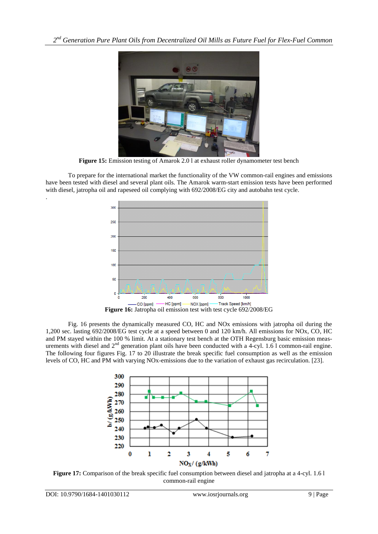

**Figure 15:** Emission testing of Amarok 2.0 l at exhaust roller dynamometer test bench

To prepare for the international market the functionality of the VW common-rail engines and emissions have been tested with diesel and several plant oils. The Amarok warm-start emission tests have been performed with diesel, jatropha oil and rapeseed oil complying with 692/2008/EG city and autobahn test cycle.



Fig. 16 presents the dynamically measured CO, HC and NOx emissions with jatropha oil during the 1,200 sec. lasting 692/2008/EG test cycle at a speed between 0 and 120 km/h. All emissions for NOx, CO, HC and PM stayed within the 100 % limit. At a stationary test bench at the OTH Regensburg basic emission measurements with diesel and 2<sup>nd</sup> generation plant oils have been conducted with a 4-cyl. 1.6 l common-rail engine. The following four figures Fig. 17 to 20 illustrate the break specific fuel consumption as well as the emission levels of CO, HC and PM with varying NOx-emissions due to the variation of exhaust gas recirculation. [23].



**Figure 17:** Comparison of the break specific fuel consumption between diesel and jatropha at a 4-cyl. 1.6 l common-rail engine

.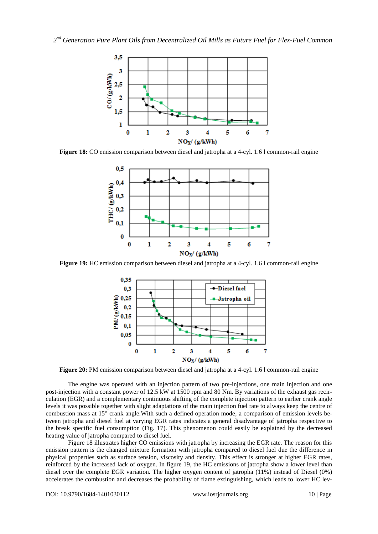

**Figure 18:** CO emission comparison between diesel and jatropha at a 4-cyl. 1.6 l common-rail engine



**Figure 19:** HC emission comparison between diesel and jatropha at a 4-cyl. 1.6 l common-rail engine



**Figure 20:** PM emission comparison between diesel and jatropha at a 4-cyl. 1.6 l common-rail engine

The engine was operated with an injection pattern of two pre-injections, one main injection and one post-injection with a constant power of 12.5 kW at 1500 rpm and 80 Nm. By variations of the exhaust gas recirculation (EGR) and a complementary continuous shifting of the complete injection pattern to earlier crank angle levels it was possible together with slight adaptations of the main injection fuel rate to always keep the centre of combustion mass at 15° crank angle.With such a defined operation mode, a comparison of emission levels between jatropha and diesel fuel at varying EGR rates indicates a general disadvantage of jatropha respective to the break specific fuel consumption (Fig. 17). This phenomenon could easily be explained by the decreased heating value of jatropha compared to diesel fuel.

Figure 18 illustrates higher CO emissions with jatropha by increasing the EGR rate. The reason for this emission pattern is the changed mixture formation with jatropha compared to diesel fuel due the difference in physical properties such as surface tension, viscosity and density. This effect is stronger at higher EGR rates, reinforced by the increased lack of oxygen. In figure 19, the HC emissions of jatropha show a lower level than diesel over the complete EGR variation. The higher oxygen content of jatropha (11%) instead of Diesel (0%) accelerates the combustion and decreases the probability of flame extinguishing, which leads to lower HC lev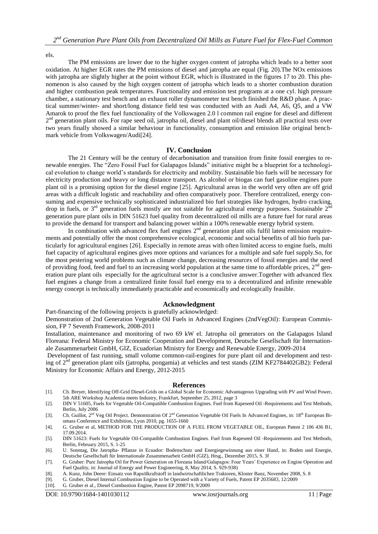els.

The PM emissions are lower due to the higher oxygen content of jatropha which leads to a better soot oxidation. At higher EGR rates the PM emissions of diesel and jatropha are equal (Fig. 20).The NOx emissions with jatropha are slightly higher at the point without EGR, which is illustrated in the figures 17 to 20. This phenomenon is also caused by the high oxygen content of jatropha which leads to a shorter combustion duration and higher combustion peak temperatures. Functionality and emission test programs at a one cyl. high pressure chamber, a stationary test bench and an exhaust roller dynamometer test bench finished the R&D phase. A practical summer/winter- and short/long distance field test was conducted with an Audi A4, A6, Q5, and a VW Amarok to proof the flex fuel functionality of the Volkswagen 2.0 l common rail engine for diesel and different 2<sup>nd</sup> generation plant oils. For rape seed oil, jatropha oil, diesel and plant oil/diesel blends all practical tests over two years finally showed a similar behaviour in functionality, consumption and emission like original benchmark vehicle from Volkswagen/Audi[24].

#### **IV. Conclusion**

The 21 Century will be the century of decarbonisation and transition from finite fossil energies to renewable energies. The "Zero Fossil Fuel for Galapagos Islands" initiative might be a blueprint for a technological evolution to change world's standards for electricity and mobility. Sustainable bio fuels will be necessary for electricity production and heavy or long distance transport. As alcohol or biogas can fuel gasoline engines pure plant oil is a promising option for the diesel engine [25]. Agricultural areas in the world very often are off grid areas with a difficult logistic and reachability and often comparatively poor. Therefore centralized, energy consuming and expensive technically sophisticated industrialized bio fuel strategies like hydrogen, hydro cracking, drop in fuels, or  $3<sup>rd</sup>$  generation fuels mostly are not suitable for agricultural energy purposes. Sustainable  $2<sup>nd</sup>$ generation pure plant oils in DIN 51623 fuel quality from decentralized oil mills are a future fuel for rural areas to provide the demand for transport and balancing power within a 100% renewable energy hybrid system.

In combination with advanced flex fuel engines  $2<sup>nd</sup>$  generation plant oils fulfil latest emission requirements and potentially offer the most comprehensive ecological, economic and social benefits of all bio fuels particularly for agricultural engines [26]. Especially in remote areas with often limited access to engine fuels, multi fuel capacity of agricultural engines gives more options and variances for a multiple and safe fuel supply.So, for the most pestering world problems such as climate change, decreasing resources of fossil energies and the need of providing food, feed and fuel to an increasing world population at the same time to affordable prices,  $2<sup>nd</sup>$  generation pure plant oils especially for the agricultural sector is a conclusive answer.Together with advanced flex fuel engines a change from a centralized finite fossil fuel energy era to a decentralized and infinite renewable energy concept is technically immediately practicable and economically and ecologically feasible.

#### **Acknowledgment**

Part-financing of the following projects is gratefully acknowledged:

Demonstration of 2nd Generation Vegetable Oil Fuels in Advanced Engines (2ndVegOil): European Commission, FP 7 Seventh Framework, 2008-2011

Installation, maintenance and monitoring of two 69 kW el. Jatropha oil generators on the Galapagos Island Floreana: Federal Ministry for Economic Cooperation and Development, Deutsche Gesellschaft für Internationale Zusammenarbeit GmbH, GIZ, Ecuadorian Ministry for Energy and Renewable Energy, 2009-2014

Development of fast running, small volume common-rail-engines for pure plant oil and development and testing of 2<sup>nd</sup> generation plant oils (jatropha, pongamia) at vehicles and test stands (ZIM KF2784402GB2): Federal Ministry for Economic Affairs and Energy, 2012-2015

#### **References**

- [1]. Ch. Breyer, Identifying Off-Grid Diesel-Grids on a Global Scale for Economic Advantageous Upgrading with PV and Wind Power, 5th ARE Workshop Academia meets Industry, Frankfurt, September 25, 2012, page 3
- [2]. DIN V 51605, Fuels for Vegetable Oil-Compatible Combustion Engines. Fuel from Rapeseed Oil -Requirements and Test Methods, Berlin, July 2006
- [3]. Ch. Guillot, 2<sup>nd</sup> Veg Oil Project. Demonstration Of 2<sup>nd</sup> Generation Vegetable Oil Fuels In Advanced Engines, in: 18<sup>th</sup> European Biomass Conference and Exhibition, Lyon 2010, pg. 1655-1660
- [4]. G. Gruber et al, METHOD FOR THE PRODUCTION OF A FUEL FROM VEGETABLE OIL, European Patent 2 106 436 B1, 17.09.2014.
- [5]. DIN 51623: Fuels for Vegetable Oil-Compatible Combustion Engines. Fuel from Rapeseed Oil -Requirements and Test Methods, Berlin, February 2015, S. 1-25
- [6]. U. Sonntag, Die Jatropha- Pflanze in Ecuador: Bodenschutz und Energiegewinnung aus einer Hand, in: Boden und Energie, Deutsche Gesellschaft für Internationale Zusammenarbeit GmbH (GIZ), Hrsg., Dezember 2015, S. 3f
- [7]. G. Gruber: Pure Jatropha Oil for Power Generation on Floreana Island/Galapagos: Four Years' Experience on Engine Operation and Fuel Quality, in: Journal of Energy and Power Engineering, 8, May 2014, S. 929-938)
- [8]. A. Kunz, John Deere: Einsatz von Rapsölkraftstoff in landwirtschaftlichen Traktoren, Kloster Banz, November 2008, S. 8
- [9]. G. Gruber, Diesel Internal Combustion Engine to be Operated with a Variety of Fuels, Patent EP 2035683, 12/2009
- [10]. G. Gruber et al., Diesel Combustion Engine, Patent EP 2098719, 9/2009